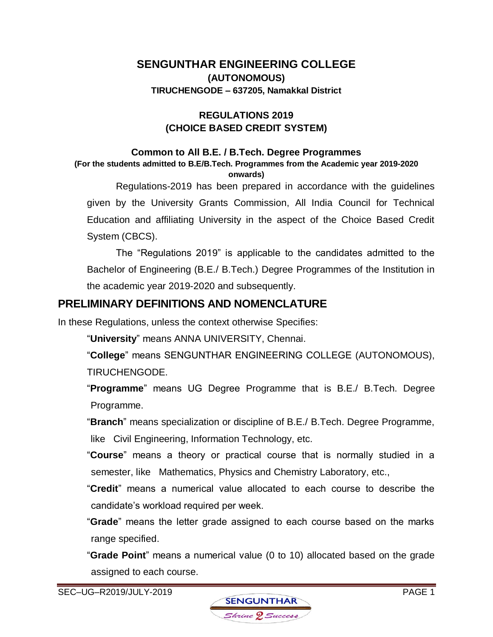# **SENGUNTHAR ENGINEERING COLLEGE (AUTONOMOUS) TIRUCHENGODE – 637205, Namakkal District**

### **REGULATIONS 2019 (CHOICE BASED CREDIT SYSTEM)**

#### **Common to All B.E. / B.Tech. Degree Programmes**

**(For the students admitted to B.E/B.Tech. Programmes from the Academic year 2019-2020 onwards)**

Regulations-2019 has been prepared in accordance with the guidelines given by the University Grants Commission, All India Council for Technical Education and affiliating University in the aspect of the Choice Based Credit System (CBCS).

The "Regulations 2019" is applicable to the candidates admitted to the Bachelor of Engineering (B.E./ B.Tech.) Degree Programmes of the Institution in the academic year 2019-2020 and subsequently.

# **PRELIMINARY DEFINITIONS AND NOMENCLATURE**

In these Regulations, unless the context otherwise Specifies:

"**University**" means ANNA UNIVERSITY, Chennai.

"**College**" means SENGUNTHAR ENGINEERING COLLEGE (AUTONOMOUS), TIRUCHENGODE.

"**Programme**" means UG Degree Programme that is B.E./ B.Tech. Degree Programme.

"**Branch**" means specialization or discipline of B.E./ B.Tech. Degree Programme, like Civil Engineering, Information Technology, etc.

"**Course**" means a theory or practical course that is normally studied in a semester, like Mathematics, Physics and Chemistry Laboratory, etc.,

"**Credit**" means a numerical value allocated to each course to describe the candidate's workload required per week.

"**Grade**" means the letter grade assigned to each course based on the marks range specified.

"**Grade Point**" means a numerical value (0 to 10) allocated based on the grade assigned to each course.

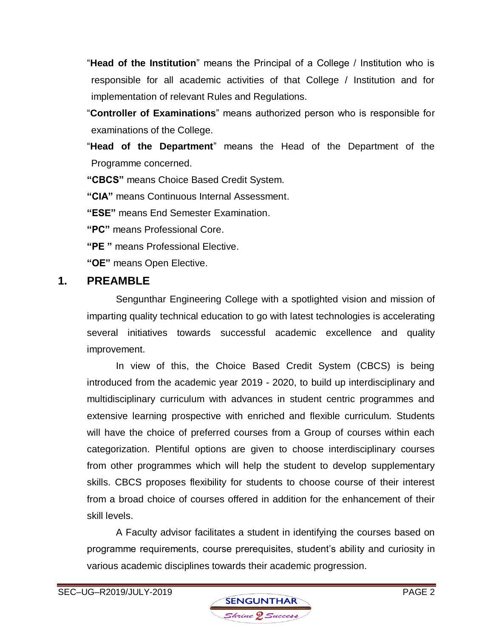"**Head of the Institution**" means the Principal of a College / Institution who is responsible for all academic activities of that College / Institution and for implementation of relevant Rules and Regulations.

"**Controller of Examinations**" means authorized person who is responsible for examinations of the College.

"**Head of the Department**" means the Head of the Department of the Programme concerned.

**"CBCS"** means Choice Based Credit System.

**"CIA"** means Continuous Internal Assessment.

**"ESE"** means End Semester Examination.

**"PC"** means Professional Core.

**"PE "** means Professional Elective.

**"OE"** means Open Elective.

# **1. PREAMBLE**

Sengunthar Engineering College with a spotlighted vision and mission of imparting quality technical education to go with latest technologies is accelerating several initiatives towards successful academic excellence and quality improvement.

In view of this, the Choice Based Credit System (CBCS) is being introduced from the academic year 2019 - 2020, to build up interdisciplinary and multidisciplinary curriculum with advances in student centric programmes and extensive learning prospective with enriched and flexible curriculum. Students will have the choice of preferred courses from a Group of courses within each categorization. Plentiful options are given to choose interdisciplinary courses from other programmes which will help the student to develop supplementary skills. CBCS proposes flexibility for students to choose course of their interest from a broad choice of courses offered in addition for the enhancement of their skill levels.

A Faculty advisor facilitates a student in identifying the courses based on programme requirements, course prerequisites, student's ability and curiosity in various academic disciplines towards their academic progression.

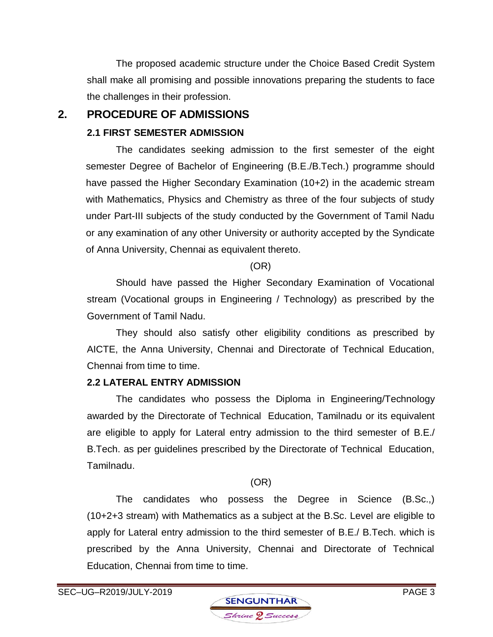The proposed academic structure under the Choice Based Credit System shall make all promising and possible innovations preparing the students to face the challenges in their profession.

# **2. PROCEDURE OF ADMISSIONS**

### **2.1 FIRST SEMESTER ADMISSION**

The candidates seeking admission to the first semester of the eight semester Degree of Bachelor of Engineering (B.E./B.Tech.) programme should have passed the Higher Secondary Examination (10+2) in the academic stream with Mathematics, Physics and Chemistry as three of the four subjects of study under Part-III subjects of the study conducted by the Government of Tamil Nadu or any examination of any other University or authority accepted by the Syndicate of Anna University, Chennai as equivalent thereto.

### (OR)

Should have passed the Higher Secondary Examination of Vocational stream (Vocational groups in Engineering / Technology) as prescribed by the Government of Tamil Nadu.

They should also satisfy other eligibility conditions as prescribed by AICTE, the Anna University, Chennai and Directorate of Technical Education, Chennai from time to time.

# **2.2 LATERAL ENTRY ADMISSION**

The candidates who possess the Diploma in Engineering/Technology awarded by the Directorate of Technical Education, Tamilnadu or its equivalent are eligible to apply for Lateral entry admission to the third semester of B.E./ B.Tech. as per guidelines prescribed by the Directorate of Technical Education, Tamilnadu.

# (OR)

The candidates who possess the Degree in Science (B.Sc.,) (10+2+3 stream) with Mathematics as a subject at the B.Sc. Level are eligible to apply for Lateral entry admission to the third semester of B.E./ B.Tech. which is prescribed by the Anna University, Chennai and Directorate of Technical Education, Chennai from time to time.

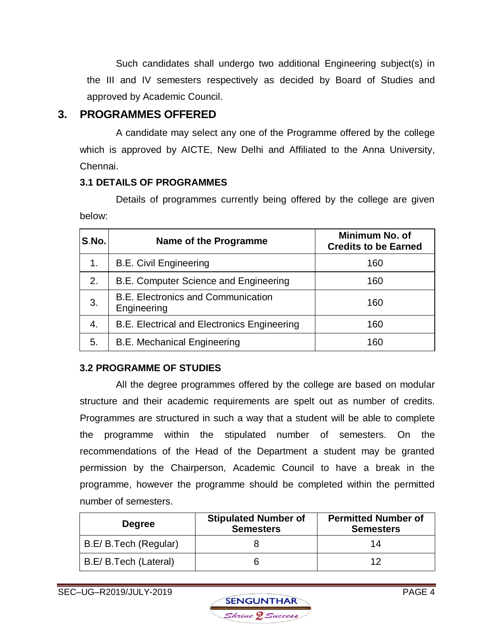Such candidates shall undergo two additional Engineering subject(s) in the III and IV semesters respectively as decided by Board of Studies and approved by Academic Council.

# **3. PROGRAMMES OFFERED**

A candidate may select any one of the Programme offered by the college which is approved by AICTE, New Delhi and Affiliated to the Anna University, Chennai.

# **3.1 DETAILS OF PROGRAMMES**

Details of programmes currently being offered by the college are given below:

| S.No. | Name of the Programme                                    | Minimum No. of<br><b>Credits to be Earned</b> |
|-------|----------------------------------------------------------|-----------------------------------------------|
| 1.    | <b>B.E. Civil Engineering</b>                            | 160                                           |
| 2.    | B.E. Computer Science and Engineering                    | 160                                           |
| 3.    | <b>B.E. Electronics and Communication</b><br>Engineering | 160                                           |
| 4.    | B.E. Electrical and Electronics Engineering              | 160                                           |
| 5.    | <b>B.E. Mechanical Engineering</b>                       | 160                                           |

# **3.2 PROGRAMME OF STUDIES**

All the degree programmes offered by the college are based on modular structure and their academic requirements are spelt out as number of credits. Programmes are structured in such a way that a student will be able to complete the programme within the stipulated number of semesters. On the recommendations of the Head of the Department a student may be granted permission by the Chairperson, Academic Council to have a break in the programme, however the programme should be completed within the permitted number of semesters.

| <b>Degree</b>         | <b>Stipulated Number of</b><br><b>Semesters</b> | <b>Permitted Number of</b><br><b>Semesters</b> |
|-----------------------|-------------------------------------------------|------------------------------------------------|
| B.E/B.Tech (Regular)  |                                                 | 14                                             |
| B.E/ B.Tech (Lateral) |                                                 | ィク                                             |

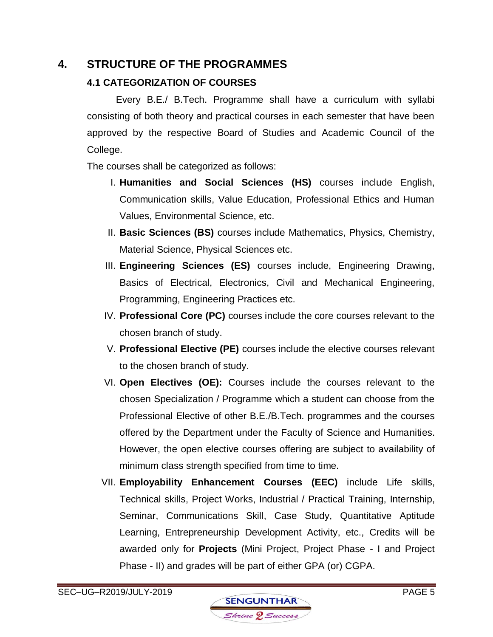# **4. STRUCTURE OF THE PROGRAMMES**

# **4.1 CATEGORIZATION OF COURSES**

Every B.E./ B.Tech. Programme shall have a curriculum with syllabi consisting of both theory and practical courses in each semester that have been approved by the respective Board of Studies and Academic Council of the College.

The courses shall be categorized as follows:

- I. **Humanities and Social Sciences (HS)** courses include English, Communication skills, Value Education, Professional Ethics and Human Values, Environmental Science, etc.
- II. **Basic Sciences (BS)** courses include Mathematics, Physics, Chemistry, Material Science, Physical Sciences etc.
- III. **Engineering Sciences (ES)** courses include, Engineering Drawing, Basics of Electrical, Electronics, Civil and Mechanical Engineering, Programming, Engineering Practices etc.
- IV. **Professional Core (PC)** courses include the core courses relevant to the chosen branch of study.
- V. **Professional Elective (PE)** courses include the elective courses relevant to the chosen branch of study.
- VI. **Open Electives (OE):** Courses include the courses relevant to the chosen Specialization / Programme which a student can choose from the Professional Elective of other B.E./B.Tech. programmes and the courses offered by the Department under the Faculty of Science and Humanities. However, the open elective courses offering are subject to availability of minimum class strength specified from time to time.
- VII. **Employability Enhancement Courses (EEC)** include Life skills, Technical skills, Project Works, Industrial / Practical Training, Internship, Seminar, Communications Skill, Case Study, Quantitative Aptitude Learning, Entrepreneurship Development Activity, etc., Credits will be awarded only for **Projects** (Mini Project, Project Phase - I and Project Phase - II) and grades will be part of either GPA (or) CGPA.

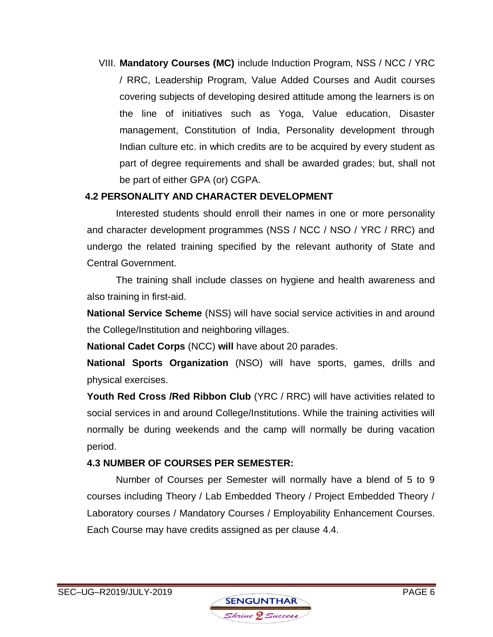VIII. **Mandatory Courses (MC)** include Induction Program, NSS / NCC / YRC / RRC, Leadership Program, Value Added Courses and Audit courses covering subjects of developing desired attitude among the learners is on the line of initiatives such as Yoga, Value education, Disaster management, Constitution of India, Personality development through Indian culture etc. in which credits are to be acquired by every student as part of degree requirements and shall be awarded grades; but, shall not be part of either GPA (or) CGPA.

### **4.2 PERSONALITY AND CHARACTER DEVELOPMENT**

Interested students should enroll their names in one or more personality and character development programmes (NSS / NCC / NSO / YRC / RRC) and undergo the related training specified by the relevant authority of State and Central Government.

The training shall include classes on hygiene and health awareness and also training in first-aid.

**National Service Scheme** (NSS) will have social service activities in and around the College/Institution and neighboring villages.

**National Cadet Corps** (NCC) **will** have about 20 parades.

**National Sports Organization** (NSO) will have sports, games, drills and physical exercises.

**Youth Red Cross /Red Ribbon Club** (YRC / RRC) will have activities related to social services in and around College/Institutions. While the training activities will normally be during weekends and the camp will normally be during vacation period.

### **4.3 NUMBER OF COURSES PER SEMESTER:**

Number of Courses per Semester will normally have a blend of 5 to 9 courses including Theory / Lab Embedded Theory / Project Embedded Theory / Laboratory courses / Mandatory Courses / Employability Enhancement Courses. Each Course may have credits assigned as per clause 4.4.

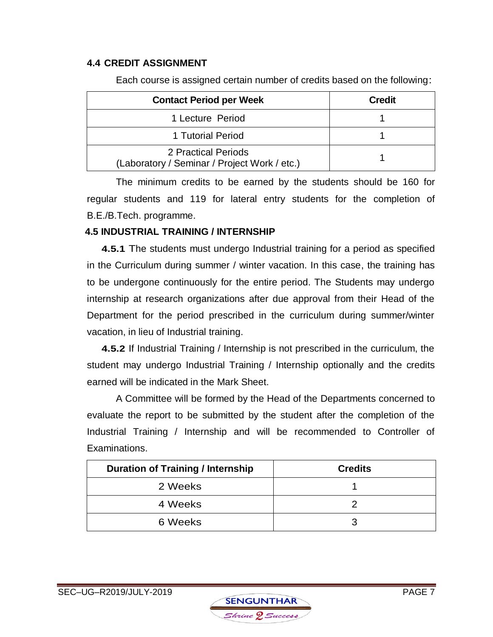#### **4.4 CREDIT ASSIGNMENT**

| <b>Contact Period per Week</b>                                      | <b>Credit</b> |
|---------------------------------------------------------------------|---------------|
| 1 Lecture Period                                                    |               |
| 1 Tutorial Period                                                   |               |
| 2 Practical Periods<br>(Laboratory / Seminar / Project Work / etc.) |               |

Each course is assigned certain number of credits based on the following:

The minimum credits to be earned by the students should be 160 for regular students and 119 for lateral entry students for the completion of B.E./B.Tech. programme.

### **4.5 INDUSTRIAL TRAINING / INTERNSHIP**

 **4.5.1** The students must undergo Industrial training for a period as specified in the Curriculum during summer / winter vacation. In this case, the training has to be undergone continuously for the entire period. The Students may undergo internship at research organizations after due approval from their Head of the Department for the period prescribed in the curriculum during summer/winter vacation, in lieu of Industrial training.

 **4.5.2** If Industrial Training / Internship is not prescribed in the curriculum, the student may undergo Industrial Training / Internship optionally and the credits earned will be indicated in the Mark Sheet.

 A Committee will be formed by the Head of the Departments concerned to evaluate the report to be submitted by the student after the completion of the Industrial Training / Internship and will be recommended to Controller of Examinations.

| <b>Duration of Training / Internship</b> | <b>Credits</b> |
|------------------------------------------|----------------|
| 2 Weeks                                  |                |
| 4 Weeks                                  |                |
| 6 Weeks                                  |                |

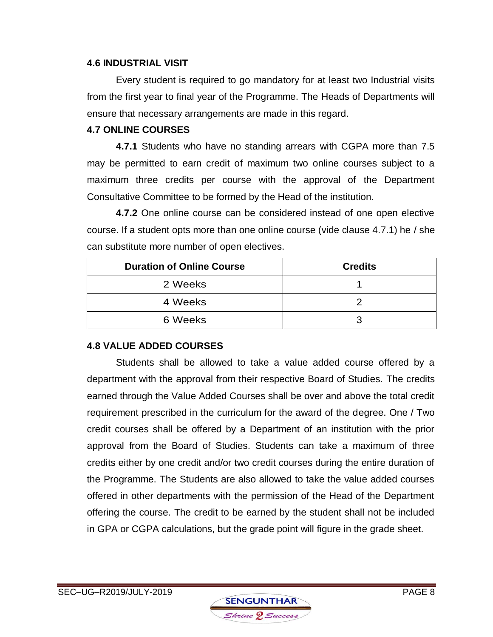#### **4.6 INDUSTRIAL VISIT**

Every student is required to go mandatory for at least two Industrial visits from the first year to final year of the Programme. The Heads of Departments will ensure that necessary arrangements are made in this regard.

#### **4.7 ONLINE COURSES**

**4.7.1** Students who have no standing arrears with CGPA more than 7.5 may be permitted to earn credit of maximum two online courses subject to a maximum three credits per course with the approval of the Department Consultative Committee to be formed by the Head of the institution.

**4.7.2** One online course can be considered instead of one open elective course. If a student opts more than one online course (vide clause 4.7.1) he / she can substitute more number of open electives.

| <b>Duration of Online Course</b> | <b>Credits</b> |
|----------------------------------|----------------|
| 2 Weeks                          |                |
| 4 Weeks                          |                |
| 6 Weeks                          |                |

#### **4.8 VALUE ADDED COURSES**

Students shall be allowed to take a value added course offered by a department with the approval from their respective Board of Studies. The credits earned through the Value Added Courses shall be over and above the total credit requirement prescribed in the curriculum for the award of the degree. One / Two credit courses shall be offered by a Department of an institution with the prior approval from the Board of Studies. Students can take a maximum of three credits either by one credit and/or two credit courses during the entire duration of the Programme. The Students are also allowed to take the value added courses offered in other departments with the permission of the Head of the Department offering the course. The credit to be earned by the student shall not be included in GPA or CGPA calculations, but the grade point will figure in the grade sheet.

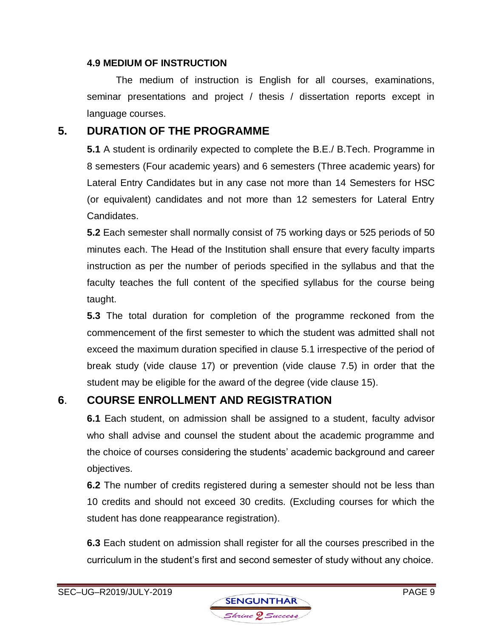#### **4.9 MEDIUM OF INSTRUCTION**

The medium of instruction is English for all courses, examinations, seminar presentations and project / thesis / dissertation reports except in language courses.

# **5. DURATION OF THE PROGRAMME**

**5.1** A student is ordinarily expected to complete the B.E./ B.Tech. Programme in 8 semesters (Four academic years) and 6 semesters (Three academic years) for Lateral Entry Candidates but in any case not more than 14 Semesters for HSC (or equivalent) candidates and not more than 12 semesters for Lateral Entry Candidates.

**5.2** Each semester shall normally consist of 75 working days or 525 periods of 50 minutes each. The Head of the Institution shall ensure that every faculty imparts instruction as per the number of periods specified in the syllabus and that the faculty teaches the full content of the specified syllabus for the course being taught.

**5.3** The total duration for completion of the programme reckoned from the commencement of the first semester to which the student was admitted shall not exceed the maximum duration specified in clause 5.1 irrespective of the period of break study (vide clause 17) or prevention (vide clause 7.5) in order that the student may be eligible for the award of the degree (vide clause 15).

# **6**. **COURSE ENROLLMENT AND REGISTRATION**

**6.1** Each student, on admission shall be assigned to a student, faculty advisor who shall advise and counsel the student about the academic programme and the choice of courses considering the students' academic background and career objectives.

**6.2** The number of credits registered during a semester should not be less than 10 credits and should not exceed 30 credits. (Excluding courses for which the student has done reappearance registration).

**6.3** Each student on admission shall register for all the courses prescribed in the curriculum in the student's first and second semester of study without any choice.

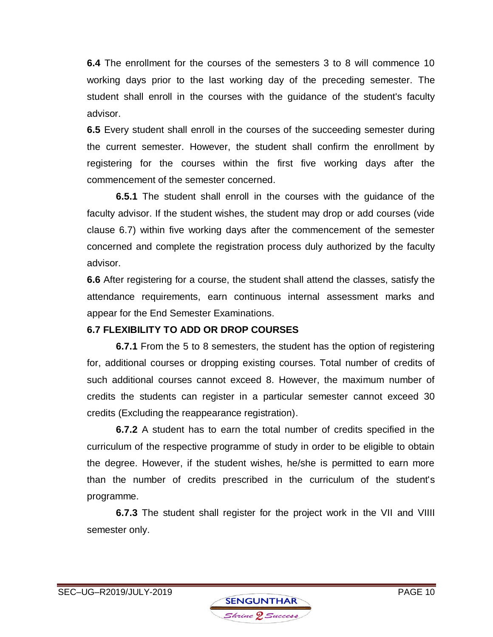**6.4** The enrollment for the courses of the semesters 3 to 8 will commence 10 working days prior to the last working day of the preceding semester. The student shall enroll in the courses with the guidance of the student's faculty advisor.

**6.5** Every student shall enroll in the courses of the succeeding semester during the current semester. However, the student shall confirm the enrollment by registering for the courses within the first five working days after the commencement of the semester concerned.

**6.5.1** The student shall enroll in the courses with the guidance of the faculty advisor. If the student wishes, the student may drop or add courses (vide clause 6.7) within five working days after the commencement of the semester concerned and complete the registration process duly authorized by the faculty advisor.

**6.6** After registering for a course, the student shall attend the classes, satisfy the attendance requirements, earn continuous internal assessment marks and appear for the End Semester Examinations.

### **6.7 FLEXIBILITY TO ADD OR DROP COURSES**

**6.7.1** From the 5 to 8 semesters, the student has the option of registering for, additional courses or dropping existing courses. Total number of credits of such additional courses cannot exceed 8. However, the maximum number of credits the students can register in a particular semester cannot exceed 30 credits (Excluding the reappearance registration).

**6.7.2** A student has to earn the total number of credits specified in the curriculum of the respective programme of study in order to be eligible to obtain the degree. However, if the student wishes, he/she is permitted to earn more than the number of credits prescribed in the curriculum of the student's programme.

**6.7.3** The student shall register for the project work in the VII and VIIII semester only.

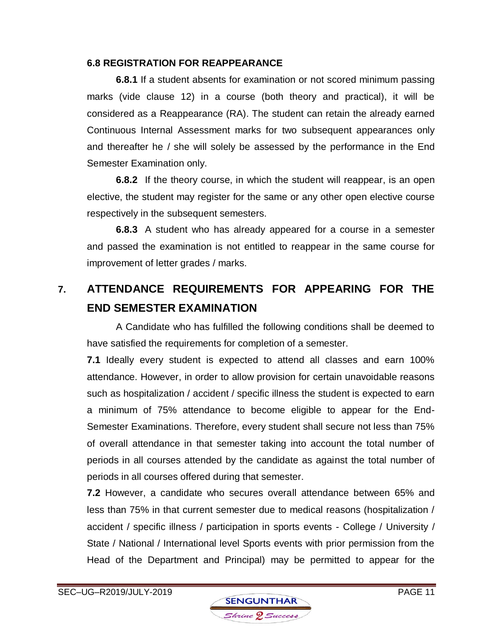#### **6.8 REGISTRATION FOR REAPPEARANCE**

**6.8.1** If a student absents for examination or not scored minimum passing marks (vide clause 12) in a course (both theory and practical), it will be considered as a Reappearance (RA). The student can retain the already earned Continuous Internal Assessment marks for two subsequent appearances only and thereafter he / she will solely be assessed by the performance in the End Semester Examination only.

**6.8.2** If the theory course, in which the student will reappear, is an open elective, the student may register for the same or any other open elective course respectively in the subsequent semesters.

**6.8.3** A student who has already appeared for a course in a semester and passed the examination is not entitled to reappear in the same course for improvement of letter grades / marks.

# **7. ATTENDANCE REQUIREMENTS FOR APPEARING FOR THE END SEMESTER EXAMINATION**

A Candidate who has fulfilled the following conditions shall be deemed to have satisfied the requirements for completion of a semester.

**7.1** Ideally every student is expected to attend all classes and earn 100% attendance. However, in order to allow provision for certain unavoidable reasons such as hospitalization / accident / specific illness the student is expected to earn a minimum of 75% attendance to become eligible to appear for the End-Semester Examinations. Therefore, every student shall secure not less than 75% of overall attendance in that semester taking into account the total number of periods in all courses attended by the candidate as against the total number of periods in all courses offered during that semester.

**7.2** However, a candidate who secures overall attendance between 65% and less than 75% in that current semester due to medical reasons (hospitalization / accident / specific illness / participation in sports events - College / University / State / National / International level Sports events with prior permission from the Head of the Department and Principal) may be permitted to appear for the

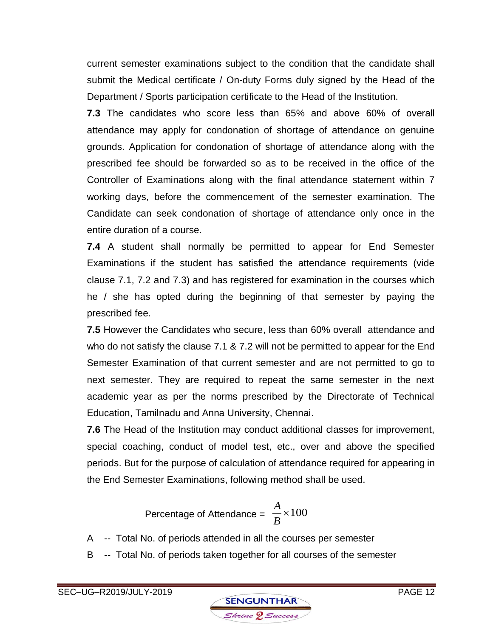current semester examinations subject to the condition that the candidate shall submit the Medical certificate / On-duty Forms duly signed by the Head of the Department / Sports participation certificate to the Head of the Institution.

**7.3** The candidates who score less than 65% and above 60% of overall attendance may apply for condonation of shortage of attendance on genuine grounds. Application for condonation of shortage of attendance along with the prescribed fee should be forwarded so as to be received in the office of the Controller of Examinations along with the final attendance statement within 7 working days, before the commencement of the semester examination. The Candidate can seek condonation of shortage of attendance only once in the entire duration of a course.

**7.4** A student shall normally be permitted to appear for End Semester Examinations if the student has satisfied the attendance requirements (vide clause 7.1, 7.2 and 7.3) and has registered for examination in the courses which he / she has opted during the beginning of that semester by paying the prescribed fee.

**7.5** However the Candidates who secure, less than 60% overall attendance and who do not satisfy the clause 7.1 & 7.2 will not be permitted to appear for the End Semester Examination of that current semester and are not permitted to go to next semester. They are required to repeat the same semester in the next academic year as per the norms prescribed by the Directorate of Technical Education, Tamilnadu and Anna University, Chennai.

**7.6** The Head of the Institution may conduct additional classes for improvement, special coaching, conduct of model test, etc., over and above the specified periods. But for the purpose of calculation of attendance required for appearing in the End Semester Examinations, following method shall be used.

Percentage of Attendance =  $\frac{1}{B} \times 100$ *A*

- A -- Total No. of periods attended in all the courses per semester
- B -- Total No. of periods taken together for all courses of the semester

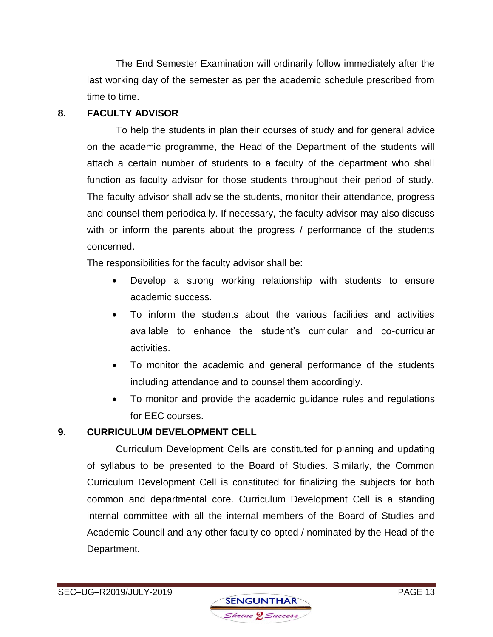The End Semester Examination will ordinarily follow immediately after the last working day of the semester as per the academic schedule prescribed from time to time.

### **8. FACULTY ADVISOR**

To help the students in plan their courses of study and for general advice on the academic programme, the Head of the Department of the students will attach a certain number of students to a faculty of the department who shall function as faculty advisor for those students throughout their period of study. The faculty advisor shall advise the students, monitor their attendance, progress and counsel them periodically. If necessary, the faculty advisor may also discuss with or inform the parents about the progress / performance of the students concerned.

The responsibilities for the faculty advisor shall be:

- Develop a strong working relationship with students to ensure academic success.
- To inform the students about the various facilities and activities available to enhance the student's curricular and co-curricular activities.
- To monitor the academic and general performance of the students including attendance and to counsel them accordingly.
- To monitor and provide the academic guidance rules and regulations for EEC courses.

# **9**. **CURRICULUM DEVELOPMENT CELL**

Curriculum Development Cells are constituted for planning and updating of syllabus to be presented to the Board of Studies. Similarly, the Common Curriculum Development Cell is constituted for finalizing the subjects for both common and departmental core. Curriculum Development Cell is a standing internal committee with all the internal members of the Board of Studies and Academic Council and any other faculty co-opted / nominated by the Head of the Department.

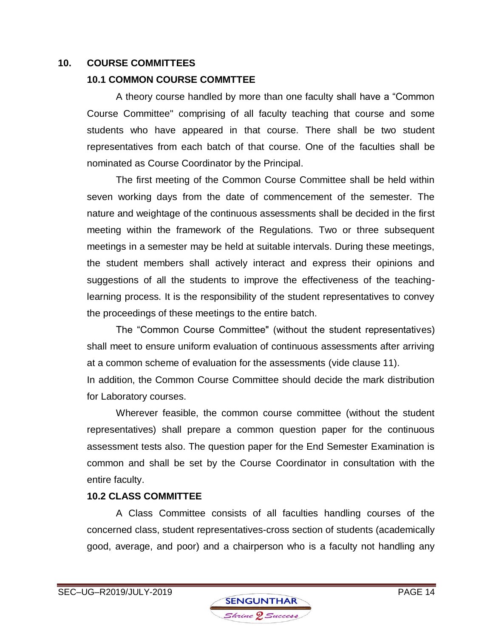#### **10. COURSE COMMITTEES**

### **10.1 COMMON COURSE COMMTTEE**

A theory course handled by more than one faculty shall have a "Common Course Committee" comprising of all faculty teaching that course and some students who have appeared in that course. There shall be two student representatives from each batch of that course. One of the faculties shall be nominated as Course Coordinator by the Principal.

The first meeting of the Common Course Committee shall be held within seven working days from the date of commencement of the semester. The nature and weightage of the continuous assessments shall be decided in the first meeting within the framework of the Regulations. Two or three subsequent meetings in a semester may be held at suitable intervals. During these meetings, the student members shall actively interact and express their opinions and suggestions of all the students to improve the effectiveness of the teachinglearning process. It is the responsibility of the student representatives to convey the proceedings of these meetings to the entire batch.

The "Common Course Committee" (without the student representatives) shall meet to ensure uniform evaluation of continuous assessments after arriving at a common scheme of evaluation for the assessments (vide clause 11).

In addition, the Common Course Committee should decide the mark distribution for Laboratory courses.

Wherever feasible, the common course committee (without the student representatives) shall prepare a common question paper for the continuous assessment tests also. The question paper for the End Semester Examination is common and shall be set by the Course Coordinator in consultation with the entire faculty.

### **10.2 CLASS COMMITTEE**

A Class Committee consists of all faculties handling courses of the concerned class, student representatives-cross section of students (academically good, average, and poor) and a chairperson who is a faculty not handling any

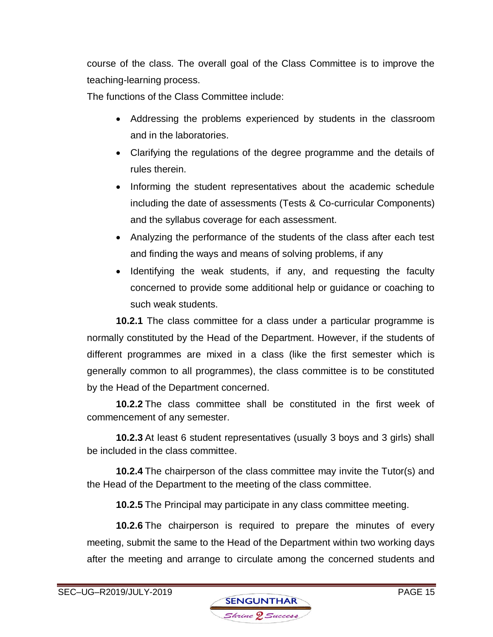course of the class. The overall goal of the Class Committee is to improve the teaching-learning process.

The functions of the Class Committee include:

- Addressing the problems experienced by students in the classroom and in the laboratories.
- Clarifying the regulations of the degree programme and the details of rules therein.
- Informing the student representatives about the academic schedule including the date of assessments (Tests & Co-curricular Components) and the syllabus coverage for each assessment.
- Analyzing the performance of the students of the class after each test and finding the ways and means of solving problems, if any
- Identifying the weak students, if any, and requesting the faculty concerned to provide some additional help or guidance or coaching to such weak students.

**10.2.1** The class committee for a class under a particular programme is normally constituted by the Head of the Department. However, if the students of different programmes are mixed in a class (like the first semester which is generally common to all programmes), the class committee is to be constituted by the Head of the Department concerned.

**10.2.2** The class committee shall be constituted in the first week of commencement of any semester.

**10.2.3** At least 6 student representatives (usually 3 boys and 3 girls) shall be included in the class committee.

**10.2.4** The chairperson of the class committee may invite the Tutor(s) and the Head of the Department to the meeting of the class committee.

**10.2.5** The Principal may participate in any class committee meeting.

**10.2.6** The chairperson is required to prepare the minutes of every meeting, submit the same to the Head of the Department within two working days after the meeting and arrange to circulate among the concerned students and

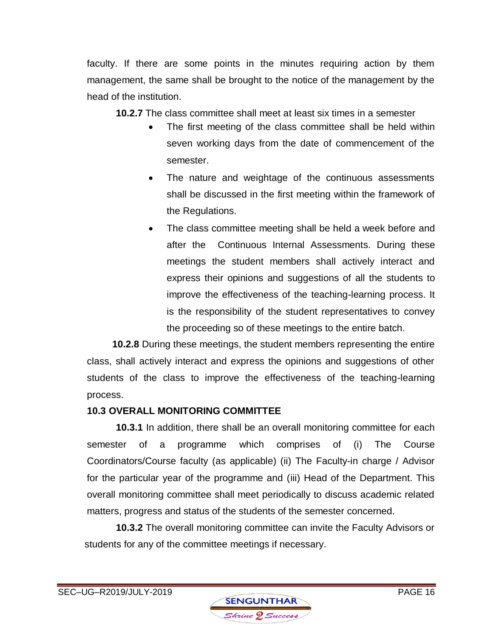faculty. If there are some points in the minutes requiring action by them management, the same shall be brought to the notice of the management by the head of the institution.

**10.2.7** The class committee shall meet at least six times in a semester

- The first meeting of the class committee shall be held within seven working days from the date of commencement of the semester.
- The nature and weightage of the continuous assessments shall be discussed in the first meeting within the framework of the Regulations.
- The class committee meeting shall be held a week before and after the Continuous Internal Assessments. During these meetings the student members shall actively interact and express their opinions and suggestions of all the students to improve the effectiveness of the teaching-learning process. It is the responsibility of the student representatives to convey the proceeding so of these meetings to the entire batch*.*

**10.2.8** During these meetings, the student members representing the entire class, shall actively interact and express the opinions and suggestions of other students of the class to improve the effectiveness of the teaching-learning process.

# **10.3 OVERALL MONITORING COMMITTEE**

**10.3.1** In addition, there shall be an overall monitoring committee for each semester of a programme which comprises of (i) The Course Coordinators/Course faculty (as applicable) (ii) The Faculty-in charge / Advisor for the particular year of the programme and (iii) Head of the Department. This overall monitoring committee shall meet periodically to discuss academic related matters, progress and status of the students of the semester concerned.

**10.3.2** The overall monitoring committee can invite the Faculty Advisors or students for any of the committee meetings if necessary.

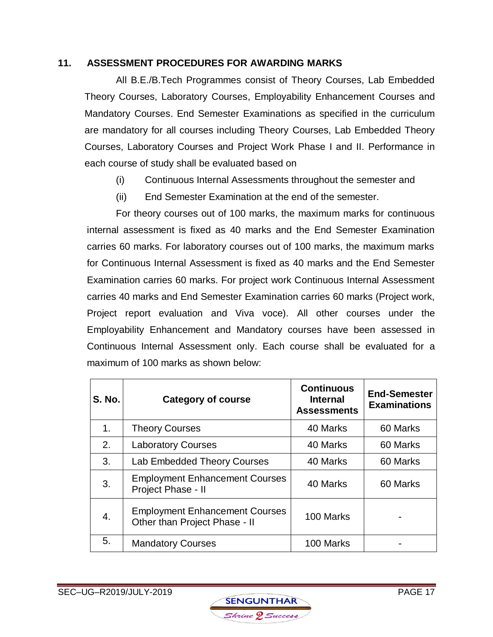#### **11. ASSESSMENT PROCEDURES FOR AWARDING MARKS**

All B.E./B.Tech Programmes consist of Theory Courses, Lab Embedded Theory Courses, Laboratory Courses, Employability Enhancement Courses and Mandatory Courses. End Semester Examinations as specified in the curriculum are mandatory for all courses including Theory Courses, Lab Embedded Theory Courses, Laboratory Courses and Project Work Phase I and II. Performance in each course of study shall be evaluated based on

- (i) Continuous Internal Assessments throughout the semester and
- (ii) End Semester Examination at the end of the semester.

For theory courses out of 100 marks, the maximum marks for continuous internal assessment is fixed as 40 marks and the End Semester Examination carries 60 marks. For laboratory courses out of 100 marks, the maximum marks for Continuous Internal Assessment is fixed as 40 marks and the End Semester Examination carries 60 marks. For project work Continuous Internal Assessment carries 40 marks and End Semester Examination carries 60 marks (Project work, Project report evaluation and Viva voce). All other courses under the Employability Enhancement and Mandatory courses have been assessed in Continuous Internal Assessment only. Each course shall be evaluated for a maximum of 100 marks as shown below:

| <b>S. No.</b> | <b>Category of course</b>                                              | <b>Continuous</b><br><b>Internal</b><br><b>Assessments</b> | <b>End-Semester</b><br><b>Examinations</b> |
|---------------|------------------------------------------------------------------------|------------------------------------------------------------|--------------------------------------------|
| 1.            | <b>Theory Courses</b>                                                  | 40 Marks                                                   | 60 Marks                                   |
| 2.            | <b>Laboratory Courses</b>                                              | 40 Marks                                                   | 60 Marks                                   |
| 3.            | <b>Lab Embedded Theory Courses</b>                                     | 40 Marks                                                   | 60 Marks                                   |
| 3.            | <b>Employment Enhancement Courses</b><br>Project Phase - II            | 40 Marks                                                   | 60 Marks                                   |
| 4.            | <b>Employment Enhancement Courses</b><br>Other than Project Phase - II | 100 Marks                                                  |                                            |
| 5.            | <b>Mandatory Courses</b>                                               | 100 Marks                                                  |                                            |

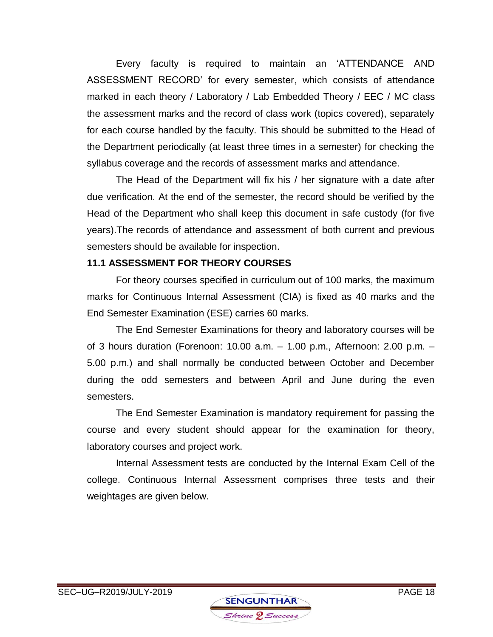Every faculty is required to maintain an 'ATTENDANCE AND ASSESSMENT RECORD' for every semester, which consists of attendance marked in each theory / Laboratory / Lab Embedded Theory / EEC / MC class the assessment marks and the record of class work (topics covered), separately for each course handled by the faculty. This should be submitted to the Head of the Department periodically (at least three times in a semester) for checking the syllabus coverage and the records of assessment marks and attendance.

The Head of the Department will fix his / her signature with a date after due verification. At the end of the semester, the record should be verified by the Head of the Department who shall keep this document in safe custody (for five years).The records of attendance and assessment of both current and previous semesters should be available for inspection.

#### **11.1 ASSESSMENT FOR THEORY COURSES**

For theory courses specified in curriculum out of 100 marks, the maximum marks for Continuous Internal Assessment (CIA) is fixed as 40 marks and the End Semester Examination (ESE) carries 60 marks.

The End Semester Examinations for theory and laboratory courses will be of 3 hours duration (Forenoon: 10.00 a.m. – 1.00 p.m., Afternoon: 2.00 p.m. – 5.00 p.m.) and shall normally be conducted between October and December during the odd semesters and between April and June during the even semesters.

The End Semester Examination is mandatory requirement for passing the course and every student should appear for the examination for theory, laboratory courses and project work.

Internal Assessment tests are conducted by the Internal Exam Cell of the college. Continuous Internal Assessment comprises three tests and their weightages are given below.

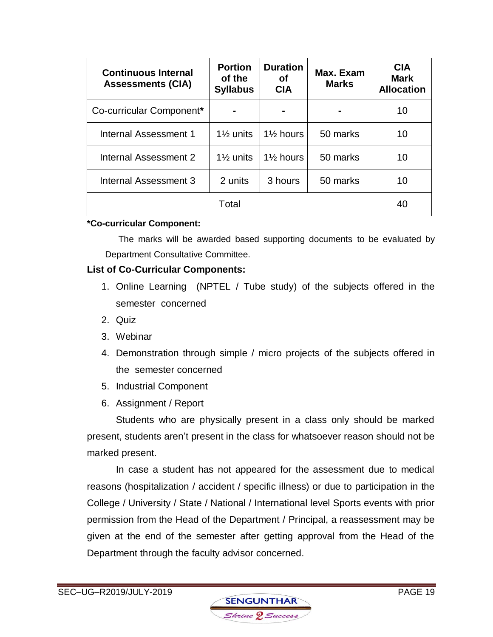| <b>Continuous Internal</b><br><b>Assessments (CIA)</b> | <b>Portion</b><br>of the<br><b>Syllabus</b> | <b>Duration</b><br>Οf<br><b>CIA</b> | Max. Exam<br><b>Marks</b> | <b>CIA</b><br><b>Mark</b><br><b>Allocation</b> |
|--------------------------------------------------------|---------------------------------------------|-------------------------------------|---------------------------|------------------------------------------------|
| Co-curricular Component*                               |                                             |                                     |                           | 10                                             |
| Internal Assessment 1                                  | $1\frac{1}{2}$ units                        | $1\frac{1}{2}$ hours                | 50 marks                  | 10                                             |
| Internal Assessment 2                                  | $1\frac{1}{2}$ units                        | $1\frac{1}{2}$ hours                | 50 marks                  | 10                                             |
| Internal Assessment 3                                  | 2 units                                     | 3 hours                             | 50 marks                  | 10                                             |
|                                                        | Total                                       |                                     |                           | 40                                             |

#### **\*Co-curricular Component:**

 The marks will be awarded based supporting documents to be evaluated by Department Consultative Committee.

#### **List of Co-Curricular Components:**

- 1. Online Learning (NPTEL / Tube study) of the subjects offered in the semester concerned
- 2. Quiz
- 3. Webinar
- 4. Demonstration through simple / micro projects of the subjects offered in the semester concerned
- 5. Industrial Component
- 6. Assignment / Report

Students who are physically present in a class only should be marked present, students aren't present in the class for whatsoever reason should not be marked present.

In case a student has not appeared for the assessment due to medical reasons (hospitalization / accident / specific illness) or due to participation in the College / University / State / National / International level Sports events with prior permission from the Head of the Department / Principal, a reassessment may be given at the end of the semester after getting approval from the Head of the Department through the faculty advisor concerned.

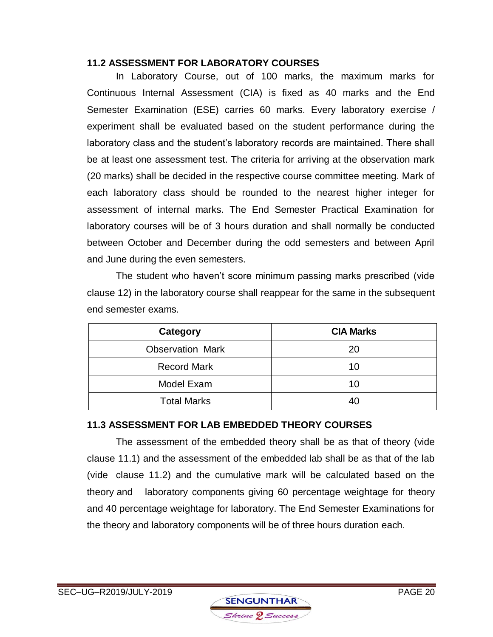### **11.2 ASSESSMENT FOR LABORATORY COURSES**

In Laboratory Course, out of 100 marks, the maximum marks for Continuous Internal Assessment (CIA) is fixed as 40 marks and the End Semester Examination (ESE) carries 60 marks. Every laboratory exercise / experiment shall be evaluated based on the student performance during the laboratory class and the student's laboratory records are maintained. There shall be at least one assessment test. The criteria for arriving at the observation mark (20 marks) shall be decided in the respective course committee meeting. Mark of each laboratory class should be rounded to the nearest higher integer for assessment of internal marks. The End Semester Practical Examination for laboratory courses will be of 3 hours duration and shall normally be conducted between October and December during the odd semesters and between April and June during the even semesters.

The student who haven't score minimum passing marks prescribed (vide clause 12) in the laboratory course shall reappear for the same in the subsequent end semester exams.

| Category                | <b>CIA Marks</b> |
|-------------------------|------------------|
| <b>Observation Mark</b> | 20               |
| <b>Record Mark</b>      | 10               |
| Model Exam              | 10               |
| <b>Total Marks</b>      |                  |

### **11.3 ASSESSMENT FOR LAB EMBEDDED THEORY COURSES**

The assessment of the embedded theory shall be as that of theory (vide clause 11.1) and the assessment of the embedded lab shall be as that of the lab (vide clause 11.2) and the cumulative mark will be calculated based on the theory and laboratory components giving 60 percentage weightage for theory and 40 percentage weightage for laboratory. The End Semester Examinations for the theory and laboratory components will be of three hours duration each.

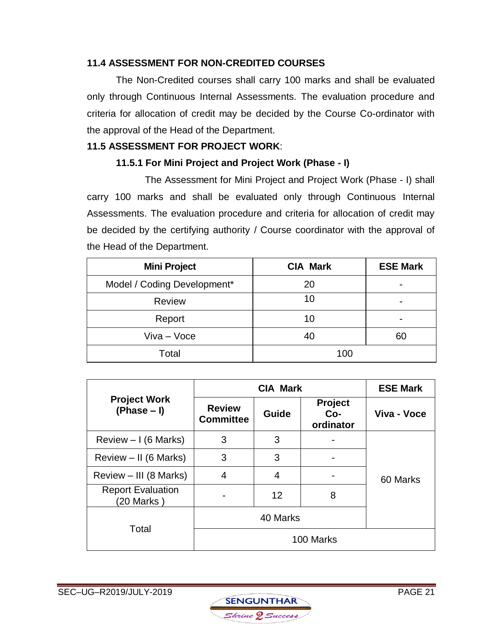### **11.4 ASSESSMENT FOR NON-CREDITED COURSES**

The Non-Credited courses shall carry 100 marks and shall be evaluated only through Continuous Internal Assessments. The evaluation procedure and criteria for allocation of credit may be decided by the Course Co-ordinator with the approval of the Head of the Department.

#### **11.5 ASSESSMENT FOR PROJECT WORK**:

### **11.5.1 For Mini Project and Project Work (Phase - I)**

The Assessment for Mini Project and Project Work (Phase - I) shall carry 100 marks and shall be evaluated only through Continuous Internal Assessments. The evaluation procedure and criteria for allocation of credit may be decided by the certifying authority / Course coordinator with the approval of the Head of the Department.

| <b>Mini Project</b>         | <b>CIA Mark</b> | <b>ESE Mark</b> |
|-----------------------------|-----------------|-----------------|
| Model / Coding Development* | 20              |                 |
| <b>Review</b>               | 10              |                 |
| Report                      | 10              |                 |
| Viva - Voce                 | 40              | 60              |
| Total                       | 100             |                 |

|                                         | <b>CIA Mark</b>                   |          |                                    | <b>ESE Mark</b> |
|-----------------------------------------|-----------------------------------|----------|------------------------------------|-----------------|
| <b>Project Work</b><br>$(Phase - I)$    | <b>Review</b><br><b>Committee</b> | Guide    | <b>Project</b><br>Co-<br>ordinator | Viva - Voce     |
| Review $-1$ (6 Marks)                   | 3                                 | 3        |                                    |                 |
| Review $-$ II (6 Marks)                 | 3                                 | 3        |                                    |                 |
| Review - III (8 Marks)                  | 4                                 | 4        |                                    | 60 Marks        |
| <b>Report Evaluation</b><br>(20 Marks ) |                                   | 12       | 8                                  |                 |
| Total                                   |                                   | 40 Marks |                                    |                 |
|                                         |                                   |          | 100 Marks                          |                 |

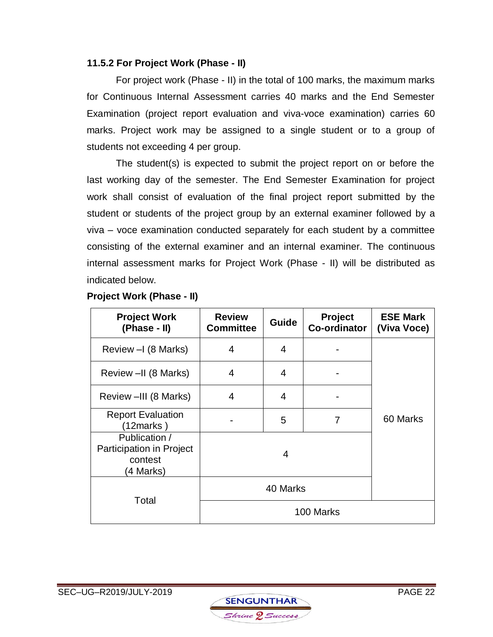#### **11.5.2 For Project Work (Phase - II)**

For project work (Phase - II) in the total of 100 marks, the maximum marks for Continuous Internal Assessment carries 40 marks and the End Semester Examination (project report evaluation and viva-voce examination) carries 60 marks. Project work may be assigned to a single student or to a group of students not exceeding 4 per group.

The student(s) is expected to submit the project report on or before the last working day of the semester. The End Semester Examination for project work shall consist of evaluation of the final project report submitted by the student or students of the project group by an external examiner followed by a viva – voce examination conducted separately for each student by a committee consisting of the external examiner and an internal examiner. The continuous internal assessment marks for Project Work (Phase - II) will be distributed as indicated below.

| <b>Project Work</b><br>(Phase - II)                               | <b>Review</b><br><b>Committee</b> | <b>Guide</b> | Project<br><b>Co-ordinator</b> | <b>ESE Mark</b><br>(Viva Voce) |
|-------------------------------------------------------------------|-----------------------------------|--------------|--------------------------------|--------------------------------|
| Review - (8 Marks)                                                | 4                                 | 4            |                                |                                |
| Review -II (8 Marks)                                              | 4                                 | 4            |                                |                                |
| Review -III (8 Marks)                                             | 4                                 | 4            |                                |                                |
| <b>Report Evaluation</b><br>(12marks)                             |                                   | 5            | 7                              | 60 Marks                       |
| Publication /<br>Participation in Project<br>contest<br>(4 Marks) |                                   | 4            |                                |                                |
|                                                                   |                                   | 40 Marks     |                                |                                |
| Total                                                             |                                   |              | 100 Marks                      |                                |

#### **Project Work (Phase - II)**

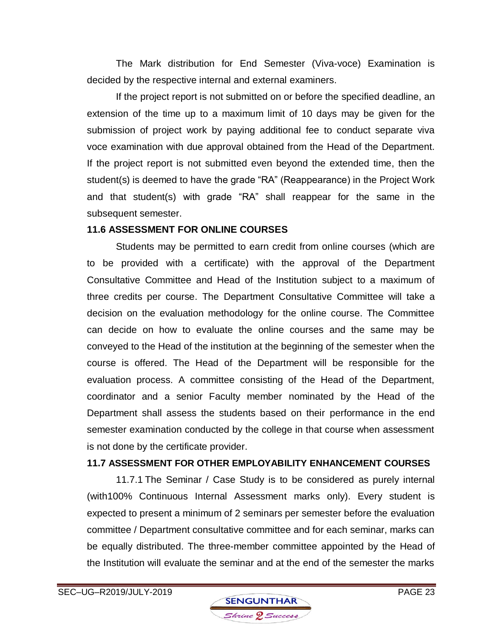The Mark distribution for End Semester (Viva-voce) Examination is decided by the respective internal and external examiners.

If the project report is not submitted on or before the specified deadline, an extension of the time up to a maximum limit of 10 days may be given for the submission of project work by paying additional fee to conduct separate viva voce examination with due approval obtained from the Head of the Department. If the project report is not submitted even beyond the extended time, then the student(s) is deemed to have the grade "RA" (Reappearance) in the Project Work and that student(s) with grade "RA" shall reappear for the same in the subsequent semester.

#### **11.6 ASSESSMENT FOR ONLINE COURSES**

Students may be permitted to earn credit from online courses (which are to be provided with a certificate) with the approval of the Department Consultative Committee and Head of the Institution subject to a maximum of three credits per course. The Department Consultative Committee will take a decision on the evaluation methodology for the online course. The Committee can decide on how to evaluate the online courses and the same may be conveyed to the Head of the institution at the beginning of the semester when the course is offered. The Head of the Department will be responsible for the evaluation process. A committee consisting of the Head of the Department, coordinator and a senior Faculty member nominated by the Head of the Department shall assess the students based on their performance in the end semester examination conducted by the college in that course when assessment is not done by the certificate provider.

#### **11.7 ASSESSMENT FOR OTHER EMPLOYABILITY ENHANCEMENT COURSES**

11.7.1 The Seminar / Case Study is to be considered as purely internal (with100% Continuous Internal Assessment marks only). Every student is expected to present a minimum of 2 seminars per semester before the evaluation committee / Department consultative committee and for each seminar, marks can be equally distributed. The three-member committee appointed by the Head of the Institution will evaluate the seminar and at the end of the semester the marks

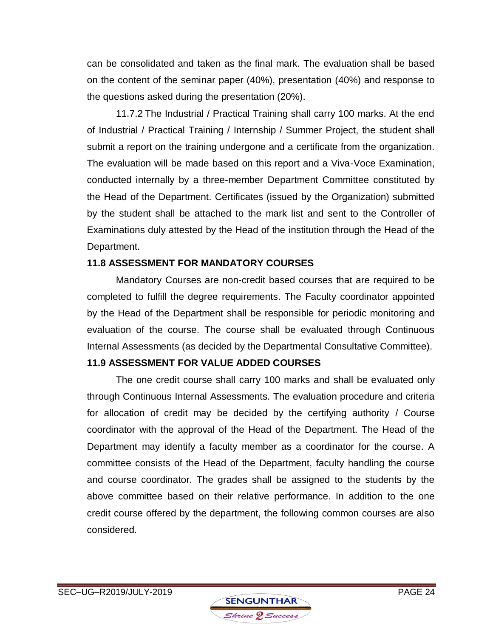can be consolidated and taken as the final mark. The evaluation shall be based on the content of the seminar paper (40%), presentation (40%) and response to the questions asked during the presentation (20%).

11.7.2 The Industrial / Practical Training shall carry 100 marks. At the end of Industrial / Practical Training / Internship / Summer Project, the student shall submit a report on the training undergone and a certificate from the organization. The evaluation will be made based on this report and a Viva-Voce Examination, conducted internally by a three-member Department Committee constituted by the Head of the Department. Certificates (issued by the Organization) submitted by the student shall be attached to the mark list and sent to the Controller of Examinations duly attested by the Head of the institution through the Head of the Department.

### **11.8 ASSESSMENT FOR MANDATORY COURSES**

Mandatory Courses are non-credit based courses that are required to be completed to fulfill the degree requirements. The Faculty coordinator appointed by the Head of the Department shall be responsible for periodic monitoring and evaluation of the course. The course shall be evaluated through Continuous Internal Assessments (as decided by the Departmental Consultative Committee).

### **11.9 ASSESSMENT FOR VALUE ADDED COURSES**

The one credit course shall carry 100 marks and shall be evaluated only through Continuous Internal Assessments. The evaluation procedure and criteria for allocation of credit may be decided by the certifying authority / Course coordinator with the approval of the Head of the Department. The Head of the Department may identify a faculty member as a coordinator for the course. A committee consists of the Head of the Department, faculty handling the course and course coordinator. The grades shall be assigned to the students by the above committee based on their relative performance. In addition to the one credit course offered by the department, the following common courses are also considered.

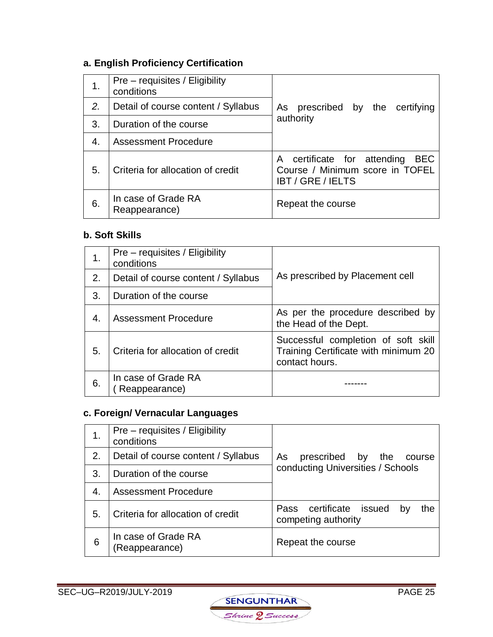# **a. English Proficiency Certification**

| 1. | Pre – requisites / Eligibility<br>conditions |                                                                                                          |
|----|----------------------------------------------|----------------------------------------------------------------------------------------------------------|
| 2. | Detail of course content / Syllabus          | As prescribed by the certifying                                                                          |
| 3. | Duration of the course                       | authority                                                                                                |
| 4. | <b>Assessment Procedure</b>                  |                                                                                                          |
| 5. | Criteria for allocation of credit            | A certificate for attending<br><b>BEC</b><br>Course / Minimum score in TOFEL<br><b>IBT / GRE / IELTS</b> |
| 6. | In case of Grade RA<br>Reappearance)         | Repeat the course                                                                                        |

#### **b. Soft Skills**

| 1. | Pre – requisites / Eligibility<br>conditions |                                                                                               |
|----|----------------------------------------------|-----------------------------------------------------------------------------------------------|
| 2. | Detail of course content / Syllabus          | As prescribed by Placement cell                                                               |
| 3. | Duration of the course                       |                                                                                               |
| 4. | <b>Assessment Procedure</b>                  | As per the procedure described by<br>the Head of the Dept.                                    |
| 5. | Criteria for allocation of credit            | Successful completion of soft skill<br>Training Certificate with minimum 20<br>contact hours. |
| 6. | In case of Grade RA<br>Reappearance)         |                                                                                               |

# **c. Foreign/ Vernacular Languages**

| 1. | $Pre - requires / Ellgibility$<br>conditions |                                                             |
|----|----------------------------------------------|-------------------------------------------------------------|
| 2. | Detail of course content / Syllabus          | prescribed by the<br>As<br>course                           |
| 3. | Duration of the course                       | conducting Universities / Schools                           |
| 4. | <b>Assessment Procedure</b>                  |                                                             |
| 5. | Criteria for allocation of credit            | Pass certificate issued<br>the<br>bv<br>competing authority |
| 6  | In case of Grade RA<br>(Reappearance)        | Repeat the course                                           |

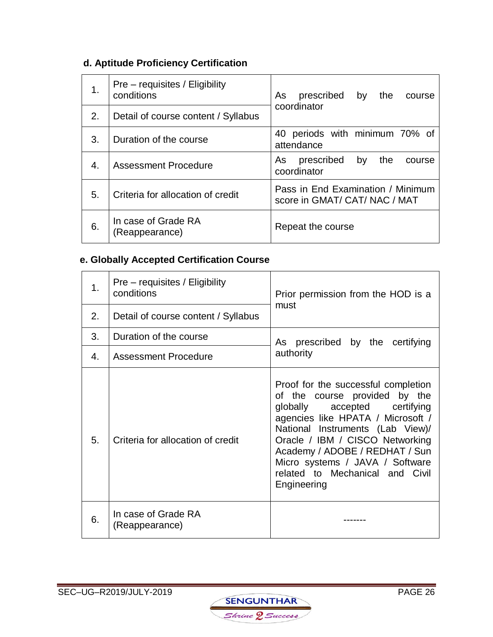# **d. Aptitude Proficiency Certification**

| 1. | Pre – requisites / Eligibility<br>conditions | As<br>prescribed<br>by<br>the<br>course                            |  |
|----|----------------------------------------------|--------------------------------------------------------------------|--|
| 2. | Detail of course content / Syllabus          | coordinator                                                        |  |
| 3. | Duration of the course                       | 40 periods with minimum 70% of<br>attendance                       |  |
| 4. | <b>Assessment Procedure</b>                  | prescribed<br>by<br>As<br>the<br>course<br>coordinator             |  |
| 5. | Criteria for allocation of credit            | Pass in End Examination / Minimum<br>score in GMAT/ CAT/ NAC / MAT |  |
| 6. | In case of Grade RA<br>(Reappearance)        | Repeat the course                                                  |  |

# **e. Globally Accepted Certification Course**

| 1. | Pre – requisites / Eligibility<br>conditions | Prior permission from the HOD is a<br>must                                                                                                                                                                                                                                                                                              |  |
|----|----------------------------------------------|-----------------------------------------------------------------------------------------------------------------------------------------------------------------------------------------------------------------------------------------------------------------------------------------------------------------------------------------|--|
| 2. | Detail of course content / Syllabus          |                                                                                                                                                                                                                                                                                                                                         |  |
| 3. | Duration of the course                       | As prescribed by the certifying                                                                                                                                                                                                                                                                                                         |  |
| 4. | <b>Assessment Procedure</b>                  | authority                                                                                                                                                                                                                                                                                                                               |  |
| 5. | Criteria for allocation of credit            | Proof for the successful completion<br>of the course provided by the<br>globally accepted certifying<br>agencies like HPATA / Microsoft /<br>National Instruments (Lab View)/<br>Oracle / IBM / CISCO Networking<br>Academy / ADOBE / REDHAT / Sun<br>Micro systems / JAVA / Software<br>related to Mechanical and Civil<br>Engineering |  |
| 6. | In case of Grade RA<br>(Reappearance)        |                                                                                                                                                                                                                                                                                                                                         |  |

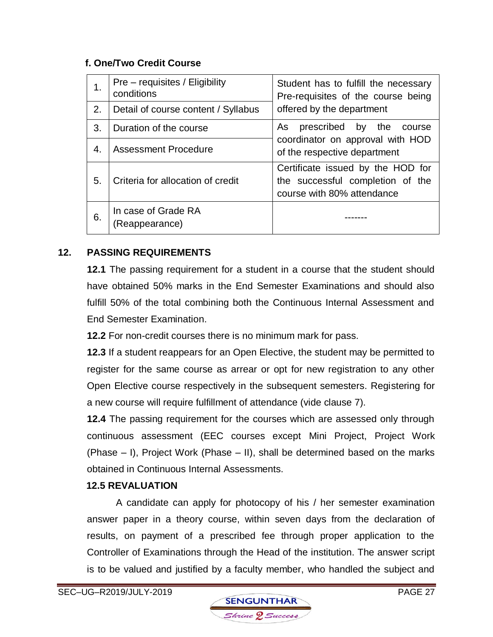### **f. One/Two Credit Course**

| 1. | Pre – requisites / Eligibility<br>conditions | Student has to fulfill the necessary<br>Pre-requisites of the course being                          |  |
|----|----------------------------------------------|-----------------------------------------------------------------------------------------------------|--|
| 2. | Detail of course content / Syllabus          | offered by the department                                                                           |  |
| 3. | Duration of the course                       | prescribed by the course<br>As                                                                      |  |
| 4. | <b>Assessment Procedure</b>                  | coordinator on approval with HOD<br>of the respective department                                    |  |
| 5. | Criteria for allocation of credit            | Certificate issued by the HOD for<br>the successful completion of the<br>course with 80% attendance |  |
| 6. | In case of Grade RA<br>(Reappearance)        |                                                                                                     |  |

### **12. PASSING REQUIREMENTS**

**12.1** The passing requirement for a student in a course that the student should have obtained 50% marks in the End Semester Examinations and should also fulfill 50% of the total combining both the Continuous Internal Assessment and End Semester Examination.

**12.2** For non-credit courses there is no minimum mark for pass.

**12.3** If a student reappears for an Open Elective, the student may be permitted to register for the same course as arrear or opt for new registration to any other Open Elective course respectively in the subsequent semesters. Registering for a new course will require fulfillment of attendance (vide clause 7).

**12.4** The passing requirement for the courses which are assessed only through continuous assessment (EEC courses except Mini Project, Project Work (Phase – I), Project Work (Phase – II), shall be determined based on the marks obtained in Continuous Internal Assessments.

#### **12.5 REVALUATION**

A candidate can apply for photocopy of his / her semester examination answer paper in a theory course, within seven days from the declaration of results, on payment of a prescribed fee through proper application to the Controller of Examinations through the Head of the institution. The answer script is to be valued and justified by a faculty member, who handled the subject and

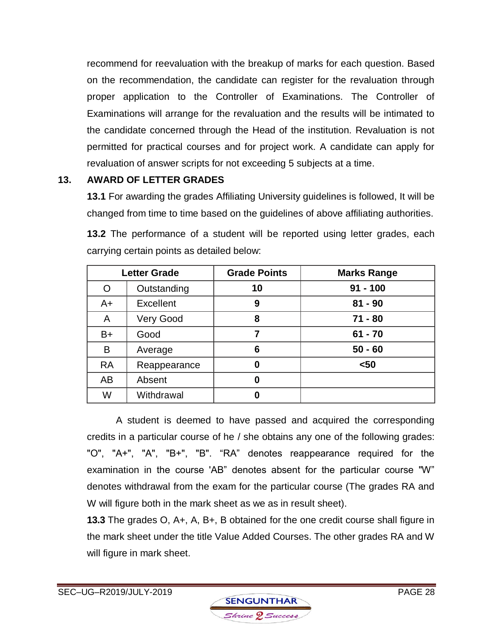recommend for reevaluation with the breakup of marks for each question. Based on the recommendation, the candidate can register for the revaluation through proper application to the Controller of Examinations. The Controller of Examinations will arrange for the revaluation and the results will be intimated to the candidate concerned through the Head of the institution. Revaluation is not permitted for practical courses and for project work. A candidate can apply for revaluation of answer scripts for not exceeding 5 subjects at a time.

### **13. AWARD OF LETTER GRADES**

**13.1** For awarding the grades Affiliating University guidelines is followed, It will be changed from time to time based on the guidelines of above affiliating authorities.

|           | <b>Letter Grade</b> | <b>Grade Points</b> | <b>Marks Range</b> |
|-----------|---------------------|---------------------|--------------------|
| O         | Outstanding         | 10                  | $91 - 100$         |
| $A+$      | <b>Excellent</b>    | 9                   | $81 - 90$          |
| A         | <b>Very Good</b>    | 8                   | $71 - 80$          |
| B+        | Good                | 7                   | $61 - 70$          |
| B         | Average             | 6                   | $50 - 60$          |
| <b>RA</b> | Reappearance        | 0                   | $50$               |
| AB        | Absent              | 0                   |                    |
| W         | Withdrawal          | 0                   |                    |

**13.2** The performance of a student will be reported using letter grades, each carrying certain points as detailed below:

A student is deemed to have passed and acquired the corresponding credits in a particular course of he / she obtains any one of the following grades: "O", "A+", "A", "B+", "B". "RA" denotes reappearance required for the examination in the course 'AB" denotes absent for the particular course "W" denotes withdrawal from the exam for the particular course (The grades RA and W will figure both in the mark sheet as we as in result sheet).

**13.3** The grades O, A+, A, B+, B obtained for the one credit course shall figure in the mark sheet under the title Value Added Courses. The other grades RA and W will figure in mark sheet.

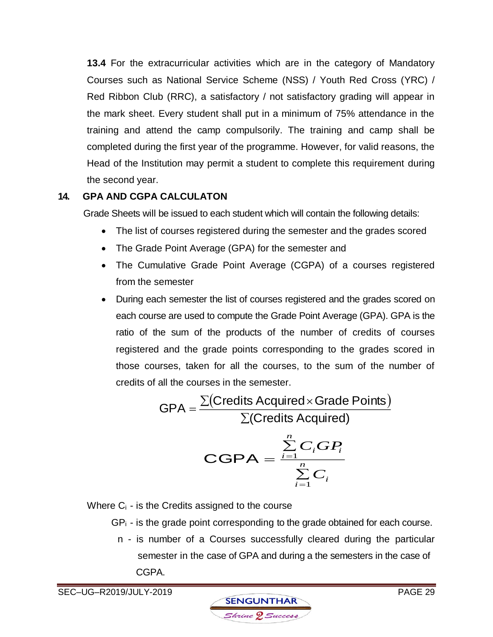**13.4** For the extracurricular activities which are in the category of Mandatory Courses such as National Service Scheme (NSS) / Youth Red Cross (YRC) / Red Ribbon Club (RRC), a satisfactory / not satisfactory grading will appear in the mark sheet. Every student shall put in a minimum of 75% attendance in the training and attend the camp compulsorily. The training and camp shall be completed during the first year of the programme. However, for valid reasons, the Head of the Institution may permit a student to complete this requirement during the second year.

### **14. GPA AND CGPA CALCULATON**

Grade Sheets will be issued to each student which will contain the following details:

- The list of courses registered during the semester and the grades scored
- The Grade Point Average (GPA) for the semester and
- The Cumulative Grade Point Average (CGPA) of a courses registered from the semester
- During each semester the list of courses registered and the grades scored on each course are used to compute the Grade Point Average (GPA). GPA is the ratio of the sum of the products of the number of credits of courses registered and the grade points corresponding to the grades scored in those courses, taken for all the courses, to the sum of the number of credits of all the courses in the semester.

$$
GPA = \frac{\sum (Credicts Acquired \times Grade Points)}{\sum (Credicts Acquired)}
$$

$$
\text{CGPA} = \frac{\sum\limits_{i=1}^{n} C_i G P_i}{\sum\limits_{i=1}^{n} C_i}
$$

Where  $C_i$  - is the Credits assigned to the course

 $GP_i$  - is the grade point corresponding to the grade obtained for each course.

 n - is number of a Courses successfully cleared during the particular semester in the case of GPA and during a the semesters in the case of CGPA.

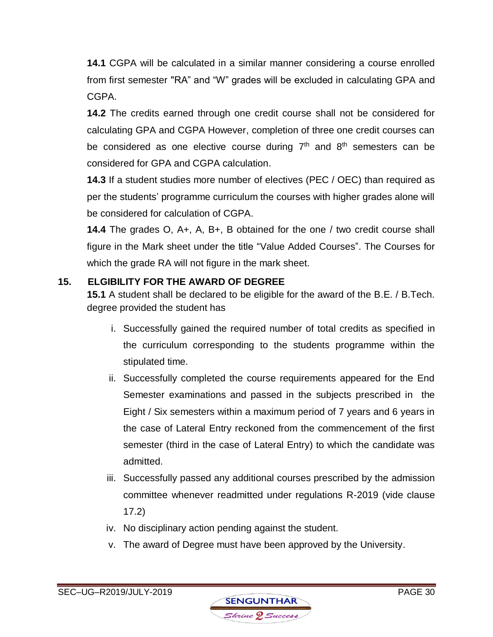**14.1** CGPA will be calculated in a similar manner considering a course enrolled from first semester "RA" and "W" grades will be excluded in calculating GPA and CGPA.

**14.2** The credits earned through one credit course shall not be considered for calculating GPA and CGPA However, completion of three one credit courses can be considered as one elective course during  $7<sup>th</sup>$  and  $8<sup>th</sup>$  semesters can be considered for GPA and CGPA calculation.

**14.3** If a student studies more number of electives (PEC / OEC) than required as per the students' programme curriculum the courses with higher grades alone will be considered for calculation of CGPA.

**14.4** The grades O, A+, A, B+, B obtained for the one / two credit course shall figure in the Mark sheet under the title "Value Added Courses". The Courses for which the grade RA will not figure in the mark sheet.

# **15. ELGIBILITY FOR THE AWARD OF DEGREE**

**15.1** A student shall be declared to be eligible for the award of the B.E. / B.Tech. degree provided the student has

- i. Successfully gained the required number of total credits as specified in the curriculum corresponding to the students programme within the stipulated time.
- ii. Successfully completed the course requirements appeared for the End Semester examinations and passed in the subjects prescribed in the Eight / Six semesters within a maximum period of 7 years and 6 years in the case of Lateral Entry reckoned from the commencement of the first semester (third in the case of Lateral Entry) to which the candidate was admitted.
- iii. Successfully passed any additional courses prescribed by the admission committee whenever readmitted under regulations R-2019 (vide clause 17.2)
- iv. No disciplinary action pending against the student.
- v. The award of Degree must have been approved by the University.

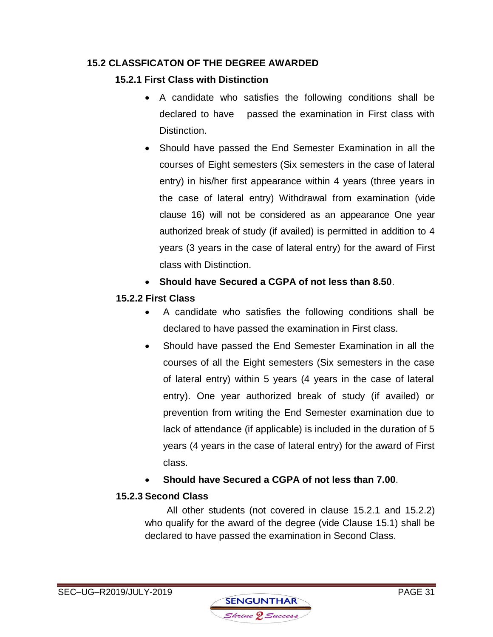### **15.2 CLASSFICATON OF THE DEGREE AWARDED**

## **15.2.1 First Class with Distinction**

- A candidate who satisfies the following conditions shall be declared to have passed the examination in First class with Distinction.
- Should have passed the End Semester Examination in all the courses of Eight semesters (Six semesters in the case of lateral entry) in his/her first appearance within 4 years (three years in the case of lateral entry) Withdrawal from examination (vide clause 16) will not be considered as an appearance One year authorized break of study (if availed) is permitted in addition to 4 years (3 years in the case of lateral entry) for the award of First class with Distinction.
- **Should have Secured a CGPA of not less than 8.50**.

# **15.2.2 First Class**

- A candidate who satisfies the following conditions shall be declared to have passed the examination in First class.
- Should have passed the End Semester Examination in all the courses of all the Eight semesters (Six semesters in the case of lateral entry) within 5 years (4 years in the case of lateral entry). One year authorized break of study (if availed) or prevention from writing the End Semester examination due to lack of attendance (if applicable) is included in the duration of 5 years (4 years in the case of lateral entry) for the award of First class.
- **Should have Secured a CGPA of not less than 7.00**.

# **15.2.3 Second Class**

All other students (not covered in clause 15.2.1 and 15.2.2) who qualify for the award of the degree (vide Clause 15.1) shall be declared to have passed the examination in Second Class.

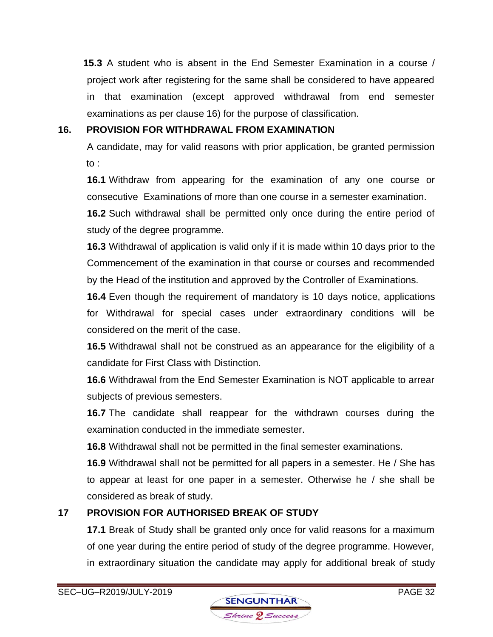**15.3** A student who is absent in the End Semester Examination in a course / project work after registering for the same shall be considered to have appeared in that examination (except approved withdrawal from end semester examinations as per clause 16) for the purpose of classification.

### **16. PROVISION FOR WITHDRAWAL FROM EXAMINATION**

A candidate, may for valid reasons with prior application, be granted permission to :

**16.1** Withdraw from appearing for the examination of any one course or consecutive Examinations of more than one course in a semester examination.

**16.2** Such withdrawal shall be permitted only once during the entire period of study of the degree programme.

**16.3** Withdrawal of application is valid only if it is made within 10 days prior to the Commencement of the examination in that course or courses and recommended by the Head of the institution and approved by the Controller of Examinations.

**16.4** Even though the requirement of mandatory is 10 days notice, applications for Withdrawal for special cases under extraordinary conditions will be considered on the merit of the case.

**16.5** Withdrawal shall not be construed as an appearance for the eligibility of a candidate for First Class with Distinction.

**16.6** Withdrawal from the End Semester Examination is NOT applicable to arrear subjects of previous semesters.

**16.7** The candidate shall reappear for the withdrawn courses during the examination conducted in the immediate semester.

**16.8** Withdrawal shall not be permitted in the final semester examinations.

**16.9** Withdrawal shall not be permitted for all papers in a semester. He / She has to appear at least for one paper in a semester. Otherwise he / she shall be considered as break of study.

# **17 PROVISION FOR AUTHORISED BREAK OF STUDY**

**17.1** Break of Study shall be granted only once for valid reasons for a maximum of one year during the entire period of study of the degree programme. However, in extraordinary situation the candidate may apply for additional break of study

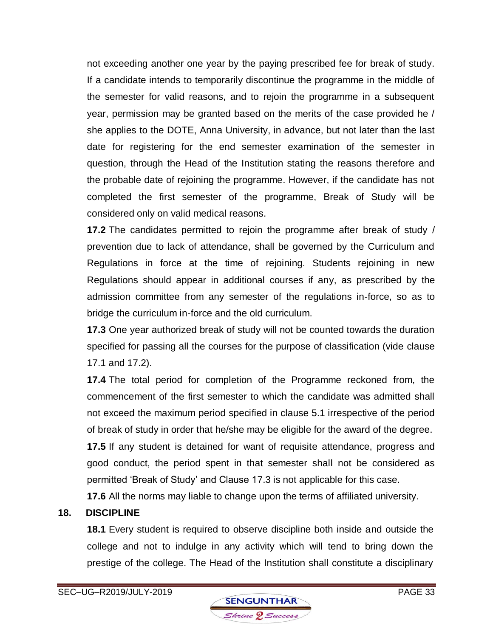not exceeding another one year by the paying prescribed fee for break of study. If a candidate intends to temporarily discontinue the programme in the middle of the semester for valid reasons, and to rejoin the programme in a subsequent year, permission may be granted based on the merits of the case provided he / she applies to the DOTE, Anna University, in advance, but not later than the last date for registering for the end semester examination of the semester in question, through the Head of the Institution stating the reasons therefore and the probable date of rejoining the programme. However, if the candidate has not completed the first semester of the programme, Break of Study will be considered only on valid medical reasons.

**17.2** The candidates permitted to rejoin the programme after break of study / prevention due to lack of attendance, shall be governed by the Curriculum and Regulations in force at the time of rejoining. Students rejoining in new Regulations should appear in additional courses if any, as prescribed by the admission committee from any semester of the regulations in-force, so as to bridge the curriculum in-force and the old curriculum.

**17.3** One year authorized break of study will not be counted towards the duration specified for passing all the courses for the purpose of classification (vide clause 17.1 and 17.2).

**17.4** The total period for completion of the Programme reckoned from, the commencement of the first semester to which the candidate was admitted shall not exceed the maximum period specified in clause 5.1 irrespective of the period of break of study in order that he/she may be eligible for the award of the degree.

**17.5** If any student is detained for want of requisite attendance, progress and good conduct, the period spent in that semester shall not be considered as permitted 'Break of Study' and Clause 17.3 is not applicable for this case.

**17.6** All the norms may liable to change upon the terms of affiliated university.

# **18. DISCIPLINE**

**18.1** Every student is required to observe discipline both inside and outside the college and not to indulge in any activity which will tend to bring down the prestige of the college. The Head of the Institution shall constitute a disciplinary